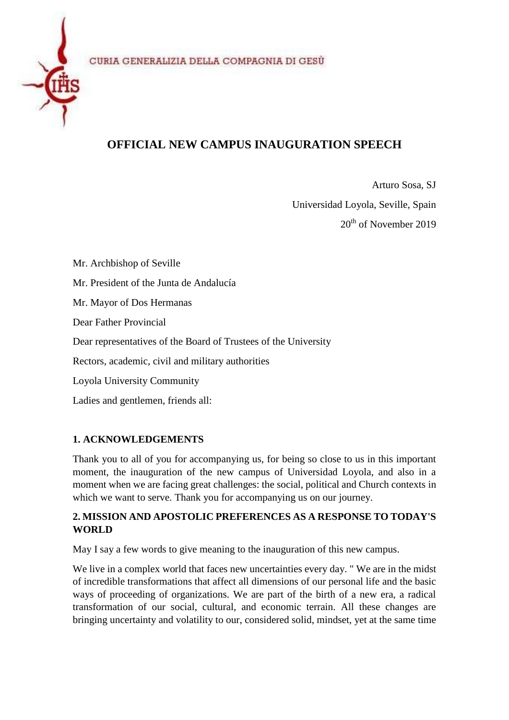

# **OFFICIAL NEW CAMPUS INAUGURATION SPEECH**

Arturo Sosa, SJ Universidad Loyola, Seville, Spain 20th of November 2019

Mr. Archbishop of Seville Mr. President of the Junta de Andalucía Mr. Mayor of Dos Hermanas Dear Father Provincial Dear representatives of the Board of Trustees of the University Rectors, academic, civil and military authorities Loyola University Community Ladies and gentlemen, friends all:

## **1. ACKNOWLEDGEMENTS**

Thank you to all of you for accompanying us, for being so close to us in this important moment, the inauguration of the new campus of Universidad Loyola, and also in a moment when we are facing great challenges: the social, political and Church contexts in which we want to serve. Thank you for accompanying us on our journey.

#### **2. MISSION AND APOSTOLIC PREFERENCES AS A RESPONSE TO TODAY'S WORLD**

May I say a few words to give meaning to the inauguration of this new campus.

We live in a complex world that faces new uncertainties every day. "We are in the midst of incredible transformations that affect all dimensions of our personal life and the basic ways of proceeding of organizations. We are part of the birth of a new era, a radical transformation of our social, cultural, and economic terrain. All these changes are bringing uncertainty and volatility to our, considered solid, mindset, yet at the same time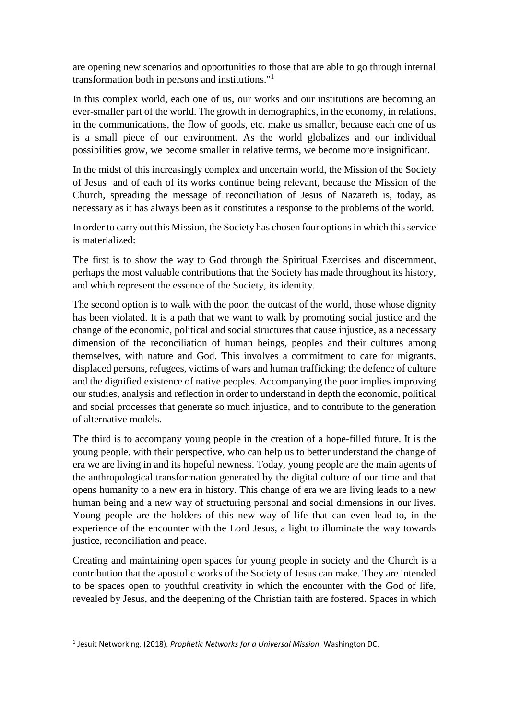are opening new scenarios and opportunities to those that are able to go through internal transformation both in persons and institutions." 1

In this complex world, each one of us, our works and our institutions are becoming an ever-smaller part of the world. The growth in demographics, in the economy, in relations, in the communications, the flow of goods, etc. make us smaller, because each one of us is a small piece of our environment. As the world globalizes and our individual possibilities grow, we become smaller in relative terms, we become more insignificant.

In the midst of this increasingly complex and uncertain world, the Mission of the Society of Jesus and of each of its works continue being relevant, because the Mission of the Church, spreading the message of reconciliation of Jesus of Nazareth is, today, as necessary as it has always been as it constitutes a response to the problems of the world.

In order to carry out this Mission, the Society has chosen four options in which this service is materialized:

The first is to show the way to God through the Spiritual Exercises and discernment, perhaps the most valuable contributions that the Society has made throughout its history, and which represent the essence of the Society, its identity.

The second option is to walk with the poor, the outcast of the world, those whose dignity has been violated. It is a path that we want to walk by promoting social justice and the change of the economic, political and social structures that cause injustice, as a necessary dimension of the reconciliation of human beings, peoples and their cultures among themselves, with nature and God. This involves a commitment to care for migrants, displaced persons, refugees, victims of wars and human trafficking; the defence of culture and the dignified existence of native peoples. Accompanying the poor implies improving our studies, analysis and reflection in order to understand in depth the economic, political and social processes that generate so much injustice, and to contribute to the generation of alternative models.

The third is to accompany young people in the creation of a hope-filled future. It is the young people, with their perspective, who can help us to better understand the change of era we are living in and its hopeful newness. Today, young people are the main agents of the anthropological transformation generated by the digital culture of our time and that opens humanity to a new era in history. This change of era we are living leads to a new human being and a new way of structuring personal and social dimensions in our lives. Young people are the holders of this new way of life that can even lead to, in the experience of the encounter with the Lord Jesus, a light to illuminate the way towards justice, reconciliation and peace.

Creating and maintaining open spaces for young people in society and the Church is a contribution that the apostolic works of the Society of Jesus can make. They are intended to be spaces open to youthful creativity in which the encounter with the God of life, revealed by Jesus, and the deepening of the Christian faith are fostered. Spaces in which

**.** 

<sup>1</sup> Jesuit Networking. (2018). *Prophetic Networks for a Universal Mission.* Washington DC.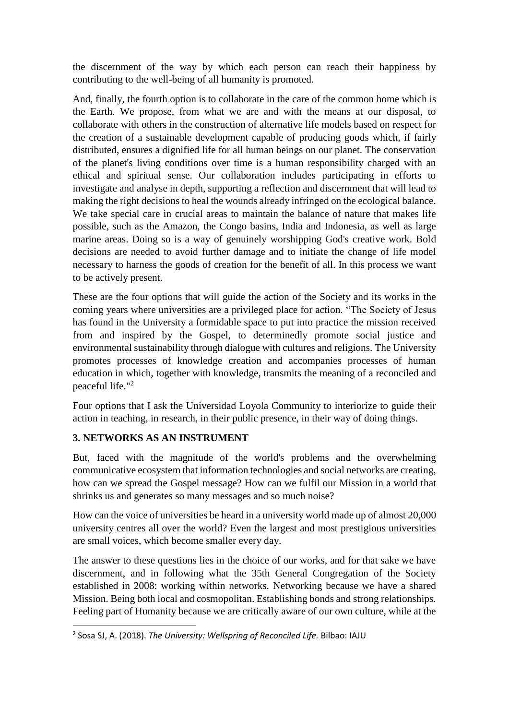the discernment of the way by which each person can reach their happiness by contributing to the well-being of all humanity is promoted.

And, finally, the fourth option is to collaborate in the care of the common home which is the Earth. We propose, from what we are and with the means at our disposal, to collaborate with others in the construction of alternative life models based on respect for the creation of a sustainable development capable of producing goods which, if fairly distributed, ensures a dignified life for all human beings on our planet. The conservation of the planet's living conditions over time is a human responsibility charged with an ethical and spiritual sense. Our collaboration includes participating in efforts to investigate and analyse in depth, supporting a reflection and discernment that will lead to making the right decisions to heal the wounds already infringed on the ecological balance. We take special care in crucial areas to maintain the balance of nature that makes life possible, such as the Amazon, the Congo basins, India and Indonesia, as well as large marine areas. Doing so is a way of genuinely worshipping God's creative work. Bold decisions are needed to avoid further damage and to initiate the change of life model necessary to harness the goods of creation for the benefit of all. In this process we want to be actively present.

These are the four options that will guide the action of the Society and its works in the coming years where universities are a privileged place for action. "The Society of Jesus has found in the University a formidable space to put into practice the mission received from and inspired by the Gospel, to determinedly promote social justice and environmental sustainability through dialogue with cultures and religions. The University promotes processes of knowledge creation and accompanies processes of human education in which, together with knowledge, transmits the meaning of a reconciled and peaceful life." 2

Four options that I ask the Universidad Loyola Community to interiorize to guide their action in teaching, in research, in their public presence, in their way of doing things.

#### **3. NETWORKS AS AN INSTRUMENT**

**.** 

But, faced with the magnitude of the world's problems and the overwhelming communicative ecosystem that information technologies and social networks are creating, how can we spread the Gospel message? How can we fulfil our Mission in a world that shrinks us and generates so many messages and so much noise?

How can the voice of universities be heard in a university world made up of almost 20,000 university centres all over the world? Even the largest and most prestigious universities are small voices, which become smaller every day.

The answer to these questions lies in the choice of our works, and for that sake we have discernment, and in following what the 35th General Congregation of the Society established in 2008: working within networks. Networking because we have a shared Mission. Being both local and cosmopolitan. Establishing bonds and strong relationships. Feeling part of Humanity because we are critically aware of our own culture, while at the

<sup>2</sup> Sosa SJ, A. (2018). *The University: Wellspring of Reconciled Life.* Bilbao: IAJU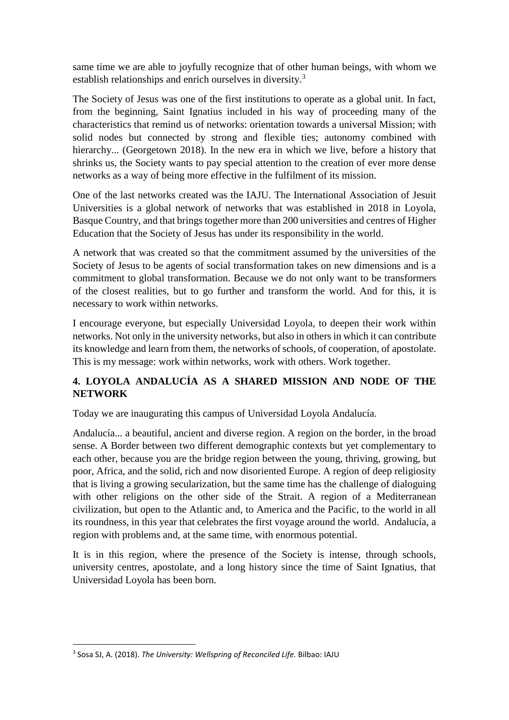same time we are able to joyfully recognize that of other human beings, with whom we establish relationships and enrich ourselves in diversity.<sup>3</sup>

The Society of Jesus was one of the first institutions to operate as a global unit. In fact, from the beginning, Saint Ignatius included in his way of proceeding many of the characteristics that remind us of networks: orientation towards a universal Mission; with solid nodes but connected by strong and flexible ties; autonomy combined with hierarchy... (Georgetown 2018). In the new era in which we live, before a history that shrinks us, the Society wants to pay special attention to the creation of ever more dense networks as a way of being more effective in the fulfilment of its mission.

One of the last networks created was the IAJU. The International Association of Jesuit Universities is a global network of networks that was established in 2018 in Loyola, Basque Country, and that brings together more than 200 universities and centres of Higher Education that the Society of Jesus has under its responsibility in the world.

A network that was created so that the commitment assumed by the universities of the Society of Jesus to be agents of social transformation takes on new dimensions and is a commitment to global transformation. Because we do not only want to be transformers of the closest realities, but to go further and transform the world. And for this, it is necessary to work within networks.

I encourage everyone, but especially Universidad Loyola, to deepen their work within networks. Not only in the university networks, but also in others in which it can contribute its knowledge and learn from them, the networks of schools, of cooperation, of apostolate. This is my message: work within networks, work with others. Work together.

### **4. LOYOLA ANDALUCÍA AS A SHARED MISSION AND NODE OF THE NETWORK**

Today we are inaugurating this campus of Universidad Loyola Andalucía.

Andalucía... a beautiful, ancient and diverse region. A region on the border, in the broad sense. A Border between two different demographic contexts but yet complementary to each other, because you are the bridge region between the young, thriving, growing, but poor, Africa, and the solid, rich and now disoriented Europe. A region of deep religiosity that is living a growing secularization, but the same time has the challenge of dialoguing with other religions on the other side of the Strait. A region of a Mediterranean civilization, but open to the Atlantic and, to America and the Pacific, to the world in all its roundness, in this year that celebrates the first voyage around the world. Andalucía, a region with problems and, at the same time, with enormous potential.

It is in this region, where the presence of the Society is intense, through schools, university centres, apostolate, and a long history since the time of Saint Ignatius, that Universidad Loyola has been born.

<sup>1</sup> 3 Sosa SJ, A. (2018). *The University: Wellspring of Reconciled Life.* Bilbao: IAJU